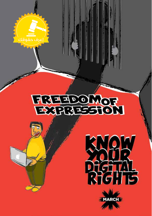

# **FREEDOMOR**



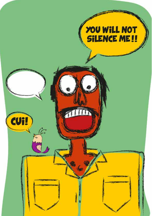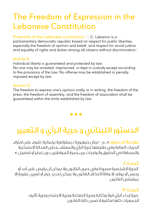## The Freedom of Expression in the Lebanese Constitution

Preamble of the Lebanese constitution:  $\therefore$  C- Lebanon is a parliamentary democratic republic based on respect for public liberties, especially the freedom of opinion and belief, and respect for social justice and equality of rights and duties among all citizens without discrimination.

#### Article 8

Individual liberty is guaranteed and protected by law. No one may be arrested, imprisoned, or kept in custody except according to the provisions of the law. No offense may be established or penalty imposed except by law.

#### Article 13

The freedom to express one's opinion orally or in writing, the freedom of the press, the freedom of assembly, and the freedom of association shall be guaranteed within the limits established by law.

#### $\bullet\bullet\bullet$

## الدستور اللبناني و حرية الرأي و التعبير

**مقدمة الدستور: «...**ج – لبنان جمهورية ديمقراطية برلمانية، تقوم على احترام الحريات العامة وفي طليعتها حرية الرأي والمعتقد، وعلى العدالة الاجتماعية والمساواة في الحقوق والواجبات بين جميع المواطنين دون تمايز أو تفضيل.»

#### المادة 8

الحرية الشخصية مصونة وفي حمى القانون ولا يمكن أن يقبضعلى أحد أو يحبس أو يوقف إلا وفاقاً لأحكام القانون ولا يمكن تحديد جرم أو تعيين عقوبة إلا بمقتضى القانون.

#### المادة ١٣

حرية إبداء الرأى قولاً وكتابة وحرية الطباعة وحرية الاجتماع وحرية تأليف الجمعيات كلها مكفولة ضمن دائرة القانون.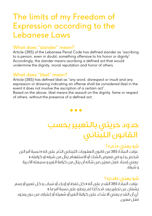## The limits of my Freedom of Expression according to the Lebanese Laws

#### What does "slander" mean?

Article (385) of the Lebanese Penal Code has defined slander as "ascribing to a person, even in doubt, something offensive to his honor or dignity". Accordingly, the slander means ascribing a defined act that would undermine the dignity, moral reputation and honor of others.

#### What does "libel" mean?

Article (385) has defined libel as "any word, disrespect or insult and any expression or drawing indicating an offense shall be considered libel in the event it does not involve the ascription of a certain act".

Based on the above, libel means the assault on the dignity, fame or respect of others, without the presence of a defined act.

#### . . .

## حدود حريتي بالتعبير بحسب القانون اللبناني

#### شو يعني « ّذم»؟

عرْفت الـمادّة 385 مـن قانـون الـعقـوبات الـلبناني الذّم على انه « نسبة أمر الـى شخص و لـو في معرض الشك أو الاستفهام بنال من شرفه او كرامته.» يعني إسناد فعل معين من شأنه أن ينال من كرامة الغير و سمعته الأدبية و شرفه.

#### شو يعني «قدح»؟

ّفت المادة 385 القدح على أنه « كل لفظ او إزدراء أو ُسباب و كل تعبير أو رسم عر يشفان عن تحقير يعد ً قدحا إذا لم ِ ينطو على نسبة أمر ما.» أي أن القدح يعني الاعتداء على كرامة الغير أو شهرته أو إعتباره، من دون وجود فعل معين.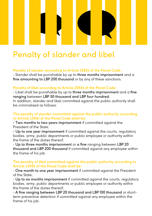## Penalty of slander and libel

#### **Penalty of slander according to Article (582) of the Penal Code:**

- Slander shall be punishable by up to three months imprisonment and a fine amounting to LBP 200 thousand or by any of these sanctions.

#### **Penalty of libel according to Article (584) of the Penal Code:**

- Libel shall be punishable by up to three months imprisonment and a fine ranging between LBP 50 thousand and LBP four hundred.

In addition, slander and libel committed against the public authority shall be criminalised as follows:

#### **The penalty of slander committed against the public authority according to Article (386) of the Penal Code shall be:**

- Two months to two years imprisonment if committed against the President of the State;

- Up to one year imprisonment if committed against the courts, regulatory bodies, army, public departments or public employee or authority within the frame of the duties thereof;

- Up to three months imprisonment or a fine ranging between LBP 20 thousand and LBP 200 thousand if committed against any employee within the frame of his job.

#### **The penalty of libel committed against the public authority according to Article (388) of the Penal Code shall be:**

- One month to one year imprisonment if committed against the President of the State;

- Up to six months imprisonment if committed against the courts, regulatory bodies, army, public departments or public employee or authority within the frame of the duties thereof;

- A fine ranging between LBP 20 thousand and LBP 100 thousand or shortterm preventive detention if committed against any employee within the frame of his job.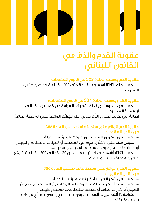## عقوبة القدح والذمّ في القانون اللبناني

#### عقوبة الذَّم بحسب المادة 582 من قانون العقوبات :

– **الحبس حتى ثلاثة اشهر و بالغرامة** حتى 200 **ألف ليرة** أو بإحدى هاتين العقوبتين.

#### عقوبة القدم بحسب المادة 584 من قانون العقوبات:

#### – الحبس من أسبوع الى ثلاثة أشهر أو بالغرامة من خمسين ألف الى أربعماية ألف ليرة.

إضافة الى تحريم القدم و الذْم ضمن إطار الحرائم الـواقعة على السلطة العامة:

#### عقوبة الذْم الواقع على سلطة عامة بحسب المادة 386 من قانون العقوبات:

– **الحبس من شهرين الى سنتين** إذا وقع على رئيس الدولة. – **الحبس سنة** على الاكثر إذا وجه الى المحاكم أو الهيئات المنظمة أو الحيش أو الإدارات العامة أو موظف سُلطَة عامة بسبب وظيفته. - الحبسثلاثة أشهر على الاكثر أو بغرامة من 20 ألف الى200 ألف ليرة إذا وقع على أي موظف بسبب وظيفته.

#### عقوبة القدح الواقع علىسلطة عامة بحسبالمادة 388 من قانون العقوبات:

– **الحبس من شهر الى سنة** إذا وقع على رئيس الدولة. – **الحبس ستة أشهر** على الاكثرإذا وجه الى المحاكم أو الهيئات المنظمة أو الحيش أو الادارات العامة أو موظف سلطة عامة بسبب وظيفته. – **الغرامة ٢٠ ألف الـي ١٠٠ ألف** أو بالتوقيف التكديري إذا وقع على أي موظف بسبب وظيفته.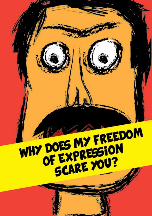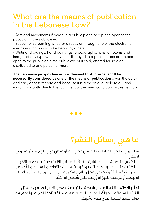## What are the means of publication in the Lebanese Law?

- Acts and movements if made in a public place or a place open to the public or in the public eye.

- Speech or screaming whether directly or through one of the electronic means in such a way to be heard by others.

- Writing, drawings, hand paintings, photographs, films, emblems and images of any type whatsoever, if displayed in a public place or a place open to the public or in the public eye or if sold, offered for sale or distributed to one person or more.

**The Lebanese jurisprudences has deemed that Internet shall be necessarily considered as one of the means of publication** given the quick and easy access thereto and because it is a mean available to all, and most importantly due to the fulfillment of the overt condition by this network.



## ما هي وسائل النشر؟

– الأعمال و الحركات إذا حصلت في محل عام أو مكان مباح للجمهور أو معرض لانظار.

– الكلام أو الصراخ سواء مباشرة أو نقلاً بالوسائل الآلية بحيث يسمعها الأخرين. – الكتابة و الرسوم و الصور اليديوية و الشمسية و الأفلام و الشارات و التّصاوير على إختلافها إذا عُرضت في محل عام أو مكان مباح للجمهور أو معرض للأنظار أو بيعت أو عُرضت للبيع أو وُزعت على شخص أو أكثر.

اعتَبر الاجتهاد اللبناني، أن شبكة الانترنت لا يمكن الا أن تعدّ من وسائل **النشر،** لسرعة و سهولةٌ الـوصول اليها و لأنها وسيلة متاحة للجميع، والأهم هو توافر شرط العلنَّية على هذه الشبكة.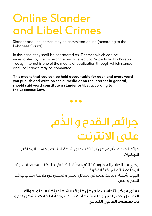## Online Slander and Libel Crimes

Slander and libel crimes may be committed online (according to the Lebanese Courts).

In this case, they shall be considered as IT crimes which can be investigated by the Cybercrime and Intellectual Property Rights Bureau. Today, Internet is one of the means of publication through which slander and libel crimes may be committed.

**This means that you can be held accountable for each and every word you publish and write on social media or on the Internet in general, should said word constitute a slander or libel according to the Lebanese Law.**

 $\bullet\bullet\bullet$ 

جرائم القدح و الذم  $\overline{a}$ على الانترنت

جرائم القدم والذْم ممكن أن ترتكب على شبكة الانترنت (بحسب المحاكم اللبنانية).

وهي من الجرائم المعلوماتية التي يتكلّف التحقيق بها مكتب مكافحة الجرائم المعلوماتية و الملكية الفكرية.

اليوم، شبكة الانترنت تعتبر من وسائل النشر، و ممكن من خلالها إرتكاب جرائم القدح و الذم.

يعني ممكن تتحاسب على كل كلمة بتنشرها و بتكتبها على مواقع التواصل الاجتماعي أو على شبكة الانترنت عموماً، إذا كانت بتشكل قدم و ذم بمفهوم القانون اللبناني.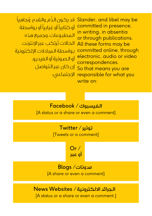قد يكون الذم والقدح وُجاهياً أو كتابياً أو غيابياً أو بواسطة المطبوعات، وجميع هذه الحالات ترتكب عبر الإنترنت بواسطة المبادلات الكترونية أو الصوتية أو الفيديو.

Slander, and libel may be committed in presence, in writing, in absentia or through publications. All these forms may be committed online, through electronic, audio or video correspondences. So that means you are إن كان عبر التواصل responsible for what you اجتماعي: write on:

الفيسبوك/ Facebook [A status or a share or even a comment]

> توتير / Twitter [Tweets or a comment]

> > Or / أو عبر

مدونات/ Blogs [A share or even a comment]

#### الجرائد الالكترونية/ Websites News

[A status or a share or even a comment.]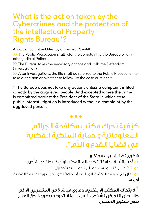### What is the action taken by the Cybercrimes and the protection of the intellectual Property Rights Bureau\*?

A judicial complaint filed by a harmed Plaintiff.

**>>** The Public Prosecution shall refer the complaint to the Bureau or any other Judicial Police

**>>** The Bureau takes the necessary actions and calls the Defendant (Investigation)

**>>** After investigations, the file shall be referred to the Public Prosecution to take a decision on whether to follow-up the case or reject it.

\* The Bureau does not take any actions unless a complaint is filed directly by the aggrieved people. And excepted where the crime is committed against the President of the State in which case public interest litigation is introduced without a complaint by the aggrieved person.

#### $\bullet\bullet\bullet$

## كيفية تحرك مكتب مكافحة الجرائم المعلوماتية و حماية الملكية الفكرية في قضايا القدح و الذُم\*.

شكوى قضائنة من مدّع متضرر <mark>>></mark> تُحيل النّيابة العامة الشكوى الى المكتب أو أي ضابطة عدلية أُخرى ّك المكتب و يستدعي المدعى عليه (تحقيق) >> يتحر >> يحال الملف بعد التحقيق الى النيابة العامة لكي تقرر بدورها متابعة القضية أو ردّها.

ّك المكتبإلا بتقديم دعاوى مباشرة من المتضريين الا في لا يتحر \* حال كان التعرض لشخص رئيس الدولة، تحركت دعوى الحق العام بدون شكوى المتضرر.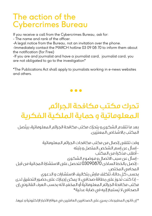## The action of the Cybercrimes Bureau

If you receive a call from the Cybercrimes Bureau, ask for:

- The name and rank of the officer.

-A legal notice from the Bureau, not an invitation over the phone.

-Immediately contact the MARCH hotline 03 09 08 70 to inform them about the notification (for Free)

-If you are and journalist and have a journalist card, journalist card, you are not obligated to go to the investigation\*

\*The Publications Act shall apply to journalists working in e-news websites and others.

#### $\bullet$   $\bullet$   $\bullet$

## تحرك مكتب مكافحة الجرائم المعلوماتية و حماية الملكية الفكرية

بعد ما تتقدم الشكوى و يتحرّك مكتب مكافحة الجرائم المعلوماتية، بيتصل المكتب بالاشخاص المعنتين.

وقت تتلقى إتصال من مكتب مكافحات الجرائم المعلوماتية المحامي المختص-إتصل بالخط الساخن <sup>03090870</sup> لتحصل على الاستشارة المجانية من قبل-إسأل عن سبب الاتصال <sup>و</sup> موضوع الشكوى-أطلب مذكرة من المكتب-إسأل عن إسم الشخصالمتصل و رتبته بحسب كل حالة، تتكلف مارشبتكاليف الاستشارات و الدعوى – إذا كنت تحوز على بطاقة صحافي، لا يمكن إجبارك على حضور التحقيق لدى مكتب مكافحة الجرائم المعلوماتية أو المخفر، Xنه بحسب العرف القانوني إن الصحافي لا يُستمع إليه في ضابة عدلية\*

\* إن قانون المطبوعات يسري على الصحافيين العامليين في مواقع الأخبار الإلكترونية و غيرها.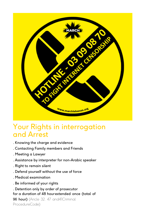

#### Your Rights in interrogation and Arrest

- . Knowing the charge and evidence
- . Contacting Family members and Friends
- . Meeting a Lawyer
- . Assistance by interpreter for non-Arabic speaker
- . Right to remain silent
- . Defend yourself without the use of force
- . Medical examination
- . Be informed of your rights
- . Detention only by order of prosecutor for a duration of 48 hourextended once (total of 96 hour) (Aricle 32, 47 and41Criminal ProcedureCode)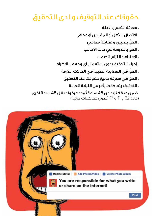## حقوقك عند التوقيف و لدى التحقيق

. معرفة التهم و الأدلة . الاتصال بالأهل أو المقربين أو محا*م* . الحقّ بتعيين و مقابلة محامى . الحقّ بالترجمة في حالة الاجانب . اuمتناع و التزام الصمت . إجراء التحقيق بدون إستعمال أي وجه من الإكراه . الحقّ في المعاينة الطبية في الحالات اللازمة . الحقّ في معرفة جميع حقوقك عند التحقيق . التوقيف يتم فقط بأمر من النيابة العامة ضمن مدة لا تزيد عن 48 ساعة تَمدد مرة واحدة ل 48 ساعة اخرى (مادة 32 و 41 و 47 أصول محاكمات جزئية)

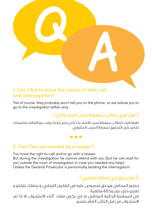## 1. Can I Ask to know the reason of their call and interrogation?

Yes of course, they probably won't tell you on the phone, so we advise you to go to the investigation either way.

#### 1. هل فيي طالب بمعرفة سبب استدعائي؟

طبعا فيك تتطالب بمعرفة سبب الاستدعاء لكن حتى لوما عرفت عبر الهاتف مننصحك تحضر على التحقيق لمعرفة السبب الحقيقي.

#### $\bullet$   $\bullet$   $\bullet$

#### 2. Can I be represented by a lawyer?

You have the right to call and to go with a lawyer. But during the investigation he cannot attend with you (but he can wait for you outside the room of investigation in case you needed any help), Unless the General Prosecutor is personnally leading the interrogation.

#### 2. هل يحق لي إحضار محامي؟

حضور المحاميي هو حق منصوص عليه في القانون اللبناني، و بحقلك تقابلو و تعينو حتى دون وكالة منظمة. في الممارسة الحالية المحامي ما في يكون معك أثناء الاستجواب الا اذا تم الاستجواب من قبل النائب العام نفسو.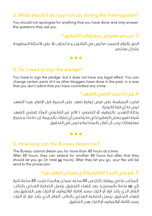#### 3.What should I do/say/not say during the Interrogation?

You should not apologize for anything that you have done and only answer the questions they ask you.

#### 3. عن شو مفروض صرْح وقت التحقيق؟

الحق بإلتزام الصمت مكرس في القانون، و ما تجاوب إلا على الأسئلة المطروحة بشكل مختصر.

 $\bullet\bullet\bullet$ 

#### 4. Do I need to sign the pledge?

You have to sign the pledge, but it does not have any legal effect. You can change certain parts of it as other bloggers have done in the past, in a way that you don't admit that you have committed any crime.

#### 4. هل انا مجبر أمضي التعهد؟

قضت الممارسة على فرض توقيع تعهد على الحميع قبل افراج. هيدا التعهد ليسله أي قوة قانونية.

بحالة التهديد بالتوقيف أو التصعيد ( الأمر غير القانوني أصلاً)، إمضي التعهد شرط تغيير بعض التعابير لكي ما يتضمن أي إعتراف بالجريمة. إن دفاعكَ و جميع معلوماتك يجب أن تُقال بالمحكمة و ليس في التحقيق.

#### $\bullet$   $\bullet$   $\bullet$

#### 5. How long can the Bureau detain me?

The Bureau cannot detain you for more than 48 hours at a time.

After 48 hours, they can extend for another 48 hours but after that they should let you go (in total 96 hours). After they let you go, your file will be send to the prosecutor.

#### 5. شو هي المدة القانونية إلي ممكن إتوقف فيا؟

المكتب ما في يوقفك أكتر من 48 ساعة. ممكن هالمدّة تتجدد 48 ساعة تانية (أي ساعة بالمجمل). بعد إنتهاء التحقيق، يتصل الضابط العدلي بالنائب العام الذي يأخذ قرار: أو الترك بسند إقامة، أوالتوقيف أو الترك رهن التحقيق.بعد إنتهاء التحقيق، يتصل الضابط العدلي بالنائب العام الذي يأخذ قرار: أو الترك بسند إقامة، أوالتوقيف أو الترك رهن التحقيق. g<sub>6</sub> hours). Atter they let you go, your file wil<br>**ثيو هـي الـمـدة الـقـانـونـية إلـي مـمـكـن إتـو<br>كتب ما في يـوقفك أكتر من 48 ساعة.** *مم***كـن ه<br>96 ساعة بالـمجـمـل). بـعـد إنتهاء الـتحـقـيق، يتصـ**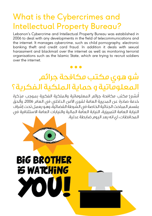## What is the Cybercrimes and Intellectual Property Bureau?

Lebanon's Cybercrime and Intellectual Property Bureau was established in 2006 to deal with any developments in the field of telecommunications and the internet. It manages cybercrime, such as child pornography, electronic banking theft and credit card fraud. In addition it deals with sexual harassment and blackmail over the internet as well as monitoring terrorist organisations such as the Islamic State, which are trying to recruit soldiers over the internet.

## شو هوي مكتب مكافحة جرائم المعلوماتية و حماية الملكية الفكرية؟

ُنشئ مكتب مكافحة جرائم المعلوماتية والملكية الفكرية بموجب مذكرة أ خدمة صادرة عن المديرية العامة لقوى الأمن الداخلى في العام 2006، وألحق بقسم المباحث الجنائية الخاصة في الشرطة القضائية، وهو يعمل تحت إشراف النيابة العامة التمييزية، النيابة العامة المالية والنيابات العامة الاستئنافية في المحافظات، اي انه يعد اليوم ضابطة عدلية.



**BIG BROTHER** 

**is Watching** 

**200**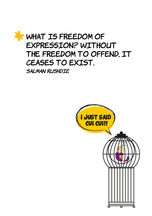

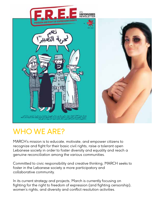

## WHO WE ARE?

MARCH's mission is to educate, motivate, and empower citizens to recognize and fight for their basic civil rights, raise a tolerant open Lebanese society in order to foster diversity and equality and reach a genuine reconciliation among the various communities.

Committed to civic responsibility and creative thinking, MARCH seeks to foster in the Lebanese society a more participatory and collaborative community.

In its current strategy and projects, March is currently focusing on fighting for the right to freedom of expression (and fighting censorship), women's rights, and diversity and conflict resolution activities.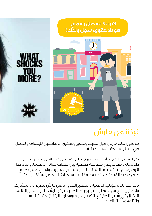

## نبذة عن مارش

تتمحور رسالة مارش حول تثقيف وتحفيز وتمكين المواطنين للإعتراف والنضال في سبيل أهم حقوقهم المدنية.

كما تسعى الجمعية لبناء مجتمع لبناني منفتح ومتسامح ولتعزيز التنوع والمساواة بهدف بلوغ مصالحة حقيقية بين مختلف شرائح المجتمع وأبناء هذا الـوطن، مع التركيز على الشباب الذين يمثلون الأمل والنواة لأي تغيير ايجابي على صعيد القيادة عند توليهم مقاليد السلطة فينسجون مستقبل بلدنا.

بالتزامها بالمسؤولية المدنية والتفكير الخلّاق، ترمى مارش لتعزيز روح المشاركة والتعاون. في سياستها واستراتيجيتها الحالية، تركز مارش على المحاور التالية: النضال في سبيل الحق في التعبير بحرية (ومحاربة الرقابة)، حقوق النساء والتنوع وحل النزاعات.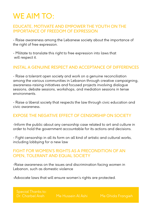## WE AIM TO:

#### EDUCATE, MOTIVATE AND EMPOWER THE YOUTH ON THE IMPORTANCE OF FREEDOM OF EXPRESSION

- Raise awareness among the Lebanese society about the importance of the right of free expression.

- Militate to translate this right to free expression into laws that will respect it.

#### INSTAL A GENUINE RESPECT AND ACCEPTANCE OF DIFFERENCES

- Raise a tolerant open society and work on a genuine reconciliation among the various communities in Lebanon through creative campaigning, awareness-raising initiatives and focused projects involving dialogue sessions, debate sessions, workshops, and mediation sessions in tense environments.

- Raise a liberal society that respects the law through civic education and civic awareness.

#### EXPOSE THE NEGATIVE EFFECT OF CENSORSHIP ON SOCIETY

-Inform the public about any censorship case related to art and culture in order to hold the government accountable for its actions and decisions.

- Fight censorship in all its form on all kind of artistic and cultural works, including lobbying for a new law

#### FIGHT FOR WOMEN'S RIGHTS AS A PRECONDITION OF AN OPEN, TOLERANT AND EQUAL SOCIETY

-Raise awareness on the issues and discrimination facing women in Lebanon, such as domestic violence

-Advocate laws that will ensure women's rights are protected.

Special Thanks to:<br>Dr. Charbel Areh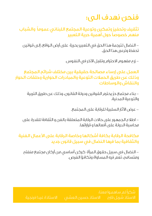## فنحن نهدف الى:

تثقيف وتحفيز وتمكين وتوعية المجتمع اللبناني عموماً والشباب منهم خصوصاً حول أهمية حرية التعبير

– النضال لترجمة هذا الحق في التعبير بحرية على أرض الـواقع، إلى قوانين تحفظ وترعى هذا الحق.

– زرع مفهوم الاحترام وتقبل الآخر في النفوس.

العمل علىإرساء مصالحة حقيقية بين مختلف شرائح المجتمع وذلك عن طريق الحملات التوعية والمبادرات الحوارية وحلقات الحوار والنقاش والوساطات

– بناء مجتمع حرّ يحترم القوانين ودولة القانون، وذلك عن طريق التربية والتوعية المدنية.

– عرض الآثار السلبية للرقابة على المجتمع.

- اطلاع الجمهور على حالات الرقابة المتعلقة بالفن و الثقافة للقدرة على محاسبة الدولة على أفعالها و قراراتها.

مكافحة الرقابة بكافة أشكالها وخاصة الرقابة على الأعمال الفنية والثقافية بما فيها النضال في سبيل قانون جديد

- النضال في سبيل حقوق المرأة كركن أساسي من أركان مجتمع منفتح ومتسامح، تعم فيه المساواة وتكافؤ الفرص.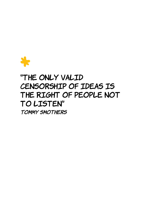

## **\*\*\***<br>"THE ONLY VALID censorship of ideas is the right of people not to listen' *Tommy Smothers*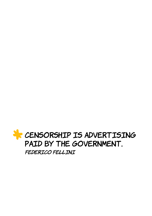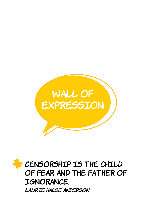

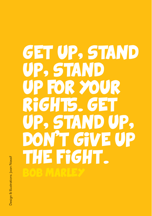## GET UP, STAND UP, STAND UP FOR YOUR RIGHTS. GET UP, STAND UP, DON'T GIVE UP THE FIGHT.